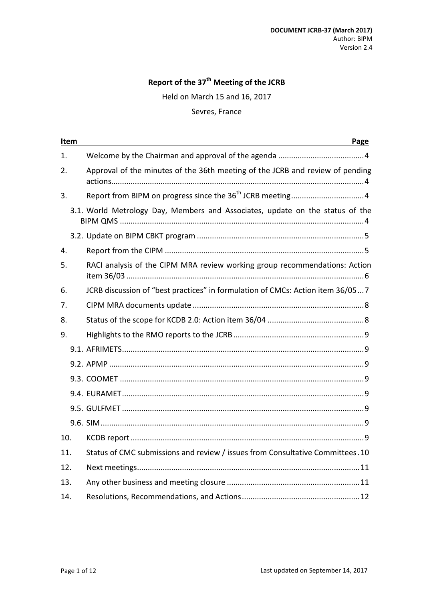# **Report of the 37th Meeting of the JCRB**

Held on March 15 and 16, 2017

### Sevres, France

|     | Item<br>Page |                                                                                |  |  |
|-----|--------------|--------------------------------------------------------------------------------|--|--|
| 1.  |              |                                                                                |  |  |
| 2.  |              | Approval of the minutes of the 36th meeting of the JCRB and review of pending  |  |  |
| 3.  |              |                                                                                |  |  |
|     |              | 3.1. World Metrology Day, Members and Associates, update on the status of the  |  |  |
|     |              |                                                                                |  |  |
| 4.  |              |                                                                                |  |  |
| 5.  |              | RACI analysis of the CIPM MRA review working group recommendations: Action     |  |  |
| 6.  |              | JCRB discussion of "best practices" in formulation of CMCs: Action item 36/057 |  |  |
| 7.  |              |                                                                                |  |  |
| 8.  |              |                                                                                |  |  |
| 9.  |              |                                                                                |  |  |
|     |              |                                                                                |  |  |
|     |              |                                                                                |  |  |
|     |              |                                                                                |  |  |
|     |              |                                                                                |  |  |
|     |              |                                                                                |  |  |
|     |              |                                                                                |  |  |
| 10. |              |                                                                                |  |  |
| 11. |              | Status of CMC submissions and review / issues from Consultative Committees.10  |  |  |
| 12. |              |                                                                                |  |  |
| 13. |              |                                                                                |  |  |
| 14. |              |                                                                                |  |  |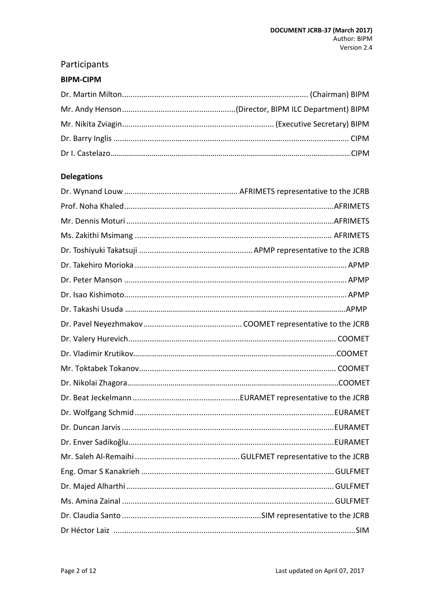# Participants

### **BIPM-CIPM**

# **Delegations**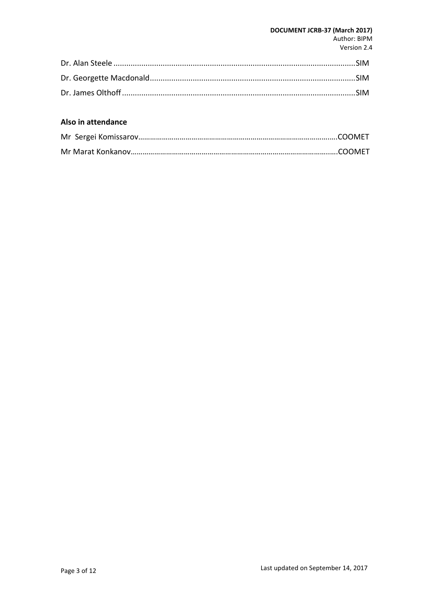#### **DOCUMENT JCRB-37 (March 2017)** Author: BIPM Version 2.4

## **Also in attendance**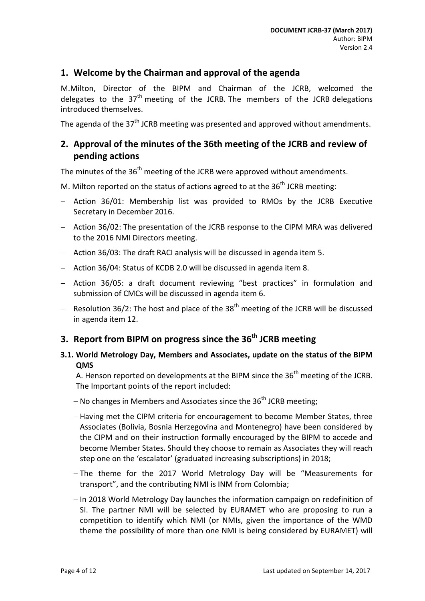### <span id="page-3-0"></span>**1. Welcome by the Chairman and approval of the agenda**

M.Milton, Director of the BIPM and Chairman of the JCRB, welcomed the delegates to the 37<sup>th</sup> meeting of the JCRB. The members of the JCRB delegations introduced themselves.

<span id="page-3-1"></span>The agenda of the 37<sup>th</sup> JCRB meeting was presented and approved without amendments.

# **2. Approval of the minutes of the 36th meeting of the JCRB and review of pending actions**

The minutes of the  $36<sup>th</sup>$  meeting of the JCRB were approved without amendments.

M. Milton reported on the status of actions agreed to at the  $36<sup>th</sup>$  JCRB meeting:

- − Action 36/01: Membership list was provided to RMOs by the JCRB Executive Secretary in December 2016.
- − Action 36/02: The presentation of the JCRB response to the CIPM MRA was delivered to the 2016 NMI Directors meeting.
- − Action 36/03: The draft RACI analysis will be discussed in agenda item 5.
- − Action 36/04: Status of KCDB 2.0 will be discussed in agenda item 8.
- − Action 36/05: a draft document reviewing "best practices" in formulation and submission of CMCs will be discussed in agenda item 6.
- − Resolution 36/2: The host and place of the 38<sup>th</sup> meeting of the JCRB will be discussed in agenda item 12.

# <span id="page-3-2"></span>**3.** Report from BIPM on progress since the 36<sup>th</sup> JCRB meeting

### <span id="page-3-3"></span>**3.1. World Metrology Day, Members and Associates, update on the status of the BIPM QMS**

A. Henson reported on developments at the BIPM since the  $36<sup>th</sup>$  meeting of the JCRB. The Important points of the report included:

- $-$  No changes in Members and Associates since the 36<sup>th</sup> JCRB meeting;
- − Having met the CIPM criteria for encouragement to become Member States, three Associates (Bolivia, Bosnia Herzegovina and Montenegro) have been considered by the CIPM and on their instruction formally encouraged by the BIPM to accede and become Member States. Should they choose to remain as Associates they will reach step one on the 'escalator' (graduated increasing subscriptions) in 2018;
- − The theme for the 2017 World Metrology Day will be "Measurements for transport", and the contributing NMI is INM from Colombia;
- − In 2018 World Metrology Day launches the information campaign on redefinition of SI. The partner NMI will be selected by EURAMET who are proposing to run a competition to identify which NMI (or NMIs, given the importance of the WMD theme the possibility of more than one NMI is being considered by EURAMET) will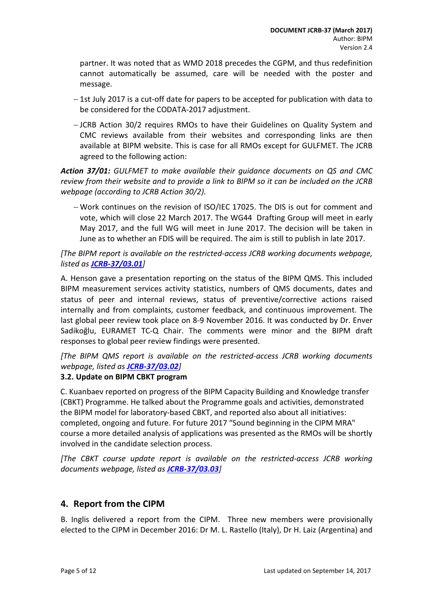partner. It was noted that as WMD 2018 precedes the CGPM, and thus redefinition cannot automatically be assumed, care will be needed with the poster and message.

- − 1st July 2017 is a cut-off date for papers to be accepted for publication with data to be considered for the CODATA-2017 adjustment.
- − JCRB Action 30/2 requires RMOs to have their Guidelines on Quality System and CMC reviews available from their websites and corresponding links are then available at BIPM website. This is case for all RMOs except for GULFMET. The JCRB agreed to the following action:

*Action 37/01: GULFMET to make available their guidance documents on QS and CMC review from their website and to provide a link to BIPM so it can be included on the JCRB webpage (according to JCRB Action 30/2).* 

− Work continues on the revision of ISO/IEC 17025. The DIS is out for comment and vote, which will close 22 March 2017. The WG44 Drafting Group will meet in early May 2017, and the full WG will meet in June 2017. The decision will be taken in June as to whether an FDIS will be required. The aim is still to publish in late 2017.

*[The BIPM report is available on the restricted-access JCRB working documents webpage, listed as [JCRB-37/03.01](http://www.bipm.org/cc/JCRB/Restricted/37/37-03.0_BIPM_Report_Progress.v3.pptx)]* 

A. Henson gave a presentation reporting on the status of the BIPM QMS. This included BIPM measurement services activity statistics, numbers of QMS documents, dates and status of peer and internal reviews, status of preventive/corrective actions raised internally and from complaints, customer feedback, and continuous improvement. The last global peer review took place on 8-9 November 2016. It was conducted by Dr. Enver Sadikoğlu, EURAMET TC-Q Chair. The comments were minor and the BIPM draft responses to global peer review findings were presented.

*[The BIPM QMS report is available on the restricted-access JCRB working documents webpage, listed as [JCRB-37/03.02](http://www.bipm.org/cc/JCRB/Restricted/37/BIPM_QMS_presentation_to_JCRB_2017.pptx)]*

### <span id="page-4-0"></span>**3.2. Update on BIPM CBKT program**

C. Kuanbaev reported on progress of the BIPM Capacity Building and Knowledge transfer (CBKT) Programme. He talked about the Programme goals and activities, demonstrated the BIPM model for laboratory-based CBKT, and reported also about all initiatives: completed, ongoing and future. For future 2017 "Sound beginning in the CIPM MRA" course a more detailed analysis of applications was presented as the RMOs will be shortly involved in the candidate selection process.

*[The CBKT course update report is available on the restricted-access JCRB working documents webpage, listed as [JCRB-37/03.03](http://www.bipm.org/cc/JCRB/Restricted/37/CBKT_course-Updates-14.03.2017--.pptx)]*

## <span id="page-4-1"></span>**4. Report from the CIPM**

B. Inglis delivered a report from the CIPM. Three new members were provisionally elected to the CIPM in December 2016: Dr M. L. Rastello (Italy), Dr H. Laiz (Argentina) and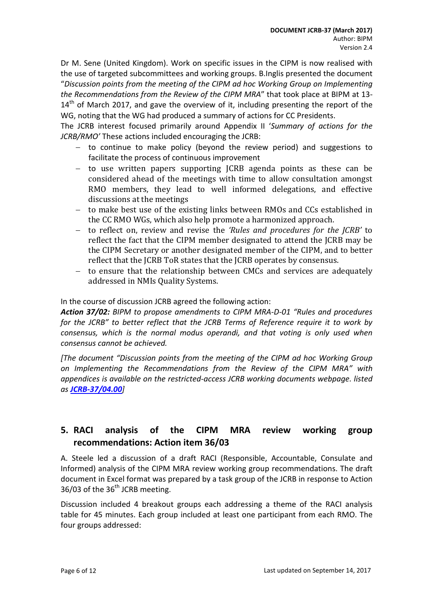Dr M. Sene (United Kingdom). Work on specific issues in the CIPM is now realised with the use of targeted subcommittees and working groups. B.Inglis presented the document "*Discussion points from the meeting of the CIPM ad hoc Working Group on Implementing the Recommendations from the Review of the CIPM MRA*" that took place at BIPM at 13-  $14<sup>th</sup>$  of March 2017, and gave the overview of it, including presenting the report of the WG, noting that the WG had produced a summary of actions for CC Presidents.

The JCRB interest focused primarily around Appendix II '*Summary of actions for the JCRB/RMO'* These actions included encouraging the JCRB:

- − to continue to make policy (beyond the review period) and suggestions to facilitate the process of continuous improvement
- − to use written papers supporting JCRB agenda points as these can be considered ahead of the meetings with time to allow consultation amongst RMO members, they lead to well informed delegations, and effective discussions at the meetings
- − to make best use of the existing links between RMOs and CCs established in the CC RMO WGs, which also help promote a harmonized approach.
- − to reflect on, review and revise the *'Rules and procedures for the JCRB'* to reflect the fact that the CIPM member designated to attend the JCRB may be the CIPM Secretary or another designated member of the CIPM, and to better reflect that the JCRB ToR states that the JCRB operates by consensus.
- − to ensure that the relationship between CMCs and services are adequately addressed in NMIs Quality Systems.

In the course of discussion JCRB agreed the following action:

*Action 37/02: BIPM to propose amendments to CIPM MRA-D-01 "Rules and procedures for the JCRB" to better reflect that the JCRB Terms of Reference require it to work by consensus, which is the normal modus operandi, and that voting is only used when consensus cannot be achieved.*

*[The document "Discussion points from the meeting of the CIPM ad hoc Working Group on Implementing the Recommendations from the Review of the CIPM MRA" with appendices is available on the restricted-access JCRB working documents webpage. listed as [JCRB-37/04.00](http://www.bipm.org/cc/JCRB/Restricted/37/CIPM_MRA_implementation_WG_meeting.pdf)]*

# <span id="page-5-0"></span>**5. RACI analysis of the CIPM MRA review working group recommendations: Action item 36/03**

A. Steele led a discussion of a draft RACI (Responsible, Accountable, Consulate and Informed) analysis of the CIPM MRA review working group recommendations. The draft document in Excel format was prepared by a task group of the JCRB in response to Action 36/03 of the  $36<sup>th</sup>$  JCRB meeting.

Discussion included 4 breakout groups each addressing a theme of the RACI analysis table for 45 minutes. Each group included at least one participant from each RMO. The four groups addressed: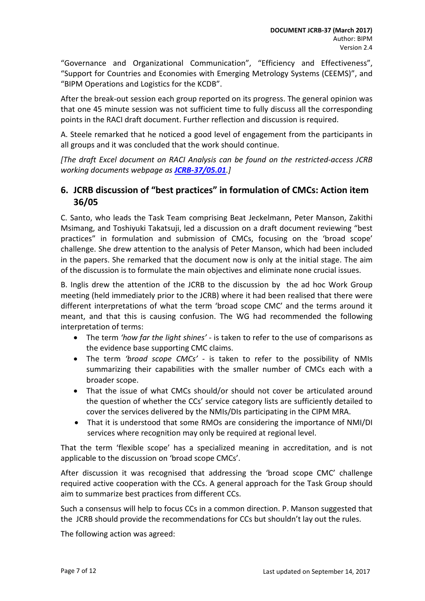"Governance and Organizational Communication", "Efficiency and Effectiveness", "Support for Countries and Economies with Emerging Metrology Systems (CEEMS)", and "BIPM Operations and Logistics for the KCDB".

After the break-out session each group reported on its progress. The general opinion was that one 45 minute session was not sufficient time to fully discuss all the corresponding points in the RACI draft document. Further reflection and discussion is required.

A. Steele remarked that he noticed a good level of engagement from the participants in all groups and it was concluded that the work should continue.

*[The draft Excel document on RACI Analysis can be found on the restricted-access JCRB working documents webpage as [JCRB-37/05.01](http://www.bipm.org/cc/JCRB/Restricted/37/JCRB_RACI_filled.xlsx).]* 

# <span id="page-6-0"></span>**6. JCRB discussion of "best practices" in formulation of CMCs: Action item 36/05**

C. Santo, who leads the Task Team comprising Beat Jeckelmann, Peter Manson, Zakithi Msimang, and Toshiyuki Takatsuji, led a discussion on a draft document reviewing "best practices" in formulation and submission of CMCs, focusing on the 'broad scope' challenge. She drew attention to the analysis of Peter Manson, which had been included in the papers. She remarked that the document now is only at the initial stage. The aim of the discussion is to formulate the main objectives and eliminate none crucial issues.

B. Inglis drew the attention of the JCRB to the discussion by the ad hoc Work Group meeting (held immediately prior to the JCRB) where it had been realised that there were different interpretations of what the term 'broad scope CMC' and the terms around it meant, and that this is causing confusion. The WG had recommended the following interpretation of terms:

- The term *'how far the light shines'* is taken to refer to the use of comparisons as the evidence base supporting CMC claims.
- The term *'broad scope CMCs'* is taken to refer to the possibility of NMIs summarizing their capabilities with the smaller number of CMCs each with a broader scope.
- That the issue of what CMCs should/or should not cover be articulated around the question of whether the CCs' service category lists are sufficiently detailed to cover the services delivered by the NMIs/DIs participating in the CIPM MRA.
- That it is understood that some RMOs are considering the importance of NMI/DI services where recognition may only be required at regional level.

That the term 'flexible scope' has a specialized meaning in accreditation, and is not applicable to the discussion on 'broad scope CMCs'.

After discussion it was recognised that addressing the 'broad scope CMC' challenge required active cooperation with the CCs. A general approach for the Task Group should aim to summarize best practices from different CCs.

Such a consensus will help to focus CCs in a common direction. P. Manson suggested that the JCRB should provide the recommendations for CCs but shouldn't lay out the rules.

The following action was agreed: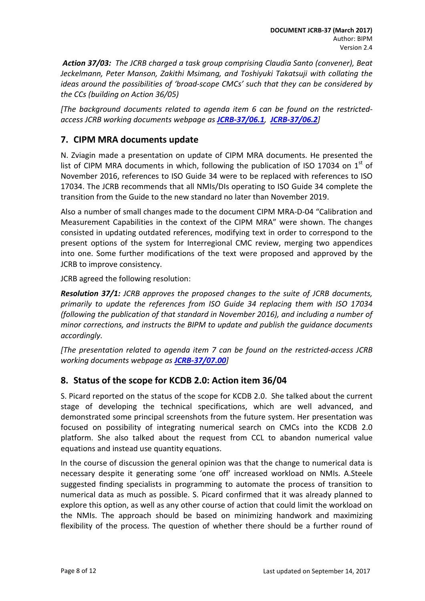*Action 37/03: The JCRB charged a task group comprising Claudia Santo (convener), Beat Jeckelmann, Peter Manson, Zakithi Msimang, and Toshiyuki Takatsuji with collating the ideas around the possibilities of 'broad-scope CMCs' such that they can be considered by the CCs (building on Action 36/05)* 

*[The background documents related to agenda item 6 can be found on the restrictedaccess JCRB working documents webpage as [JCRB-37/06.1](http://www.bipm.org/cc/JCRB/Restricted/37/Draft_document_CMCs_v02.docx), [JCRB-37/06.2](http://www.bipm.org/cc/JCRB/Restricted/37/Peter_Manson_notes.docx)]* 

# <span id="page-7-0"></span>**7. CIPM MRA documents update**

N. Zviagin made a presentation on update of CIPM MRA documents. He presented the list of CIPM MRA documents in which, following the publication of ISO 17034 on  $1<sup>st</sup>$  of November 2016, references to ISO Guide 34 were to be replaced with references to ISO 17034. The JCRB recommends that all NMIs/DIs operating to ISO Guide 34 complete the transition from the Guide to the new standard no later than November 2019.

Also a number of small changes made to the document CIPM MRA-D-04 "Calibration and Measurement Capabilities in the context of the CIPM MRA" were shown. The changes consisted in updating outdated references, modifying text in order to correspond to the present options of the system for Interregional CMC review, merging two appendices into one. Some further modifications of the text were proposed and approved by the JCRB to improve consistency.

JCRB agreed the following resolution:

*Resolution 37/1: JCRB approves the proposed changes to the suite of JCRB documents, primarily to update the references from ISO Guide 34 replacing them with ISO 17034 (following the publication of that standard in November 2016), and including a number of minor corrections, and instructs the BIPM to update and publish the guidance documents accordingly.*

*[The presentation related to agenda item 7 can be found on the restricted-access JCRB working documents webpage as [JCRB-37/07.00](http://www.bipm.org/cc/JCRB/Restricted/37/37.07_CIPM_MRA_documents_update.pptx)]*

## <span id="page-7-1"></span>**8. Status of the scope for KCDB 2.0: Action item 36/04**

S. Picard reported on the status of the scope for KCDB 2.0. She talked about the current stage of developing the technical specifications, which are well advanced, and demonstrated some principal screenshots from the future system. Her presentation was focused on possibility of integrating numerical search on CMCs into the KCDB 2.0 platform. She also talked about the request from CCL to abandon numerical value equations and instead use quantity equations.

In the course of discussion the general opinion was that the change to numerical data is necessary despite it generating some 'one off' increased workload on NMIs. A.Steele suggested finding specialists in programming to automate the process of transition to numerical data as much as possible. S. Picard confirmed that it was already planned to explore this option, as well as any other course of action that could limit the workload on the NMIs. The approach should be based on minimizing handwork and maximizing flexibility of the process. The question of whether there should be a further round of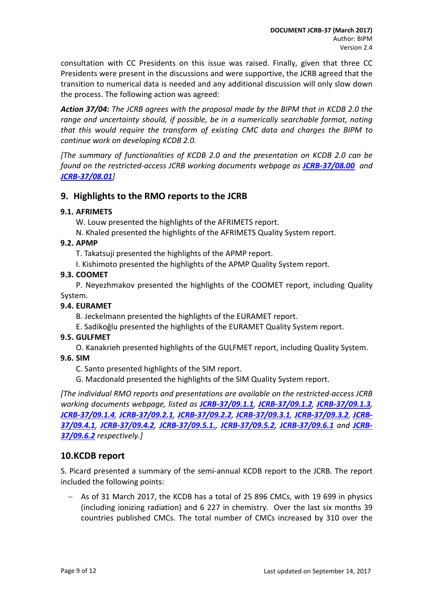consultation with CC Presidents on this issue was raised. Finally, given that three CC Presidents were present in the discussions and were supportive, the JCRB agreed that the transition to numerical data is needed and any additional discussion will only slow down the process. The following action was agreed:

*Action 37/04: The JCRB agrees with the proposal made by the BIPM that in KCDB 2.0 the range and uncertainty should, if possible, be in a numerically searchable format, noting that this would require the transform of existing CMC data and charges the BIPM to continue work on developing KCDB 2.0.*

*[The summary of functionalities of KCDB 2.0 and the presentation on KCDB 2.0 can be found on the restricted-access JCRB working documents webpage as [JCRB-37/08.00](http://www.bipm.org/cc/JCRB/Restricted/37/37.07_CIPM_MRA_documents_update.pptx) and [JCRB-37/08.01](http://www.bipm.org/cc/JCRB/Restricted/37/Presentation_on_NEW_KCDB_2.0_v3.pdf)]*

## <span id="page-8-0"></span>**9. Highlights to the RMO reports to the JCRB**

### <span id="page-8-1"></span>**9.1. AFRIMETS**

- W. Louw presented the highlights of the AFRIMETS report.
- N. Khaled presented the highlights of the AFRIMETS Quality System report.

### <span id="page-8-2"></span>**9.2. APMP**

- T. Takatsuji presented the highlights of the APMP report.
- I. Kishimoto presented the highlights of the APMP Quality System report.

### <span id="page-8-3"></span>**9.3. COOMET**

P. Neyezhmakov presented the highlights of the COOMET report, including Quality System.

#### <span id="page-8-4"></span>**9.4. EURAMET**

- B. Jeckelmann presented the highlights of the EURAMET report.
- E. Sadikoǧlu presented the highlights of the EURAMET Quality System report.

#### <span id="page-8-5"></span>**9.5. GULFMET**

O. Kanakrieh presented highlights of the GULFMET report, including Quality System.

#### <span id="page-8-6"></span>**9.6. SIM**

- C. Santo presented highlights of the SIM report.
- G. Macdonald presented the highlights of the SIM Quality System report.

*[The individual RMO reports and presentations are available on the restricted-access JCRB working documents webpage, listed as [JCRB-37/09.1.1](http://www.bipm.org/cc/JCRB/Restricted/37/AFRIMETS_Report_37th_JCRB_2017.doc), [JCRB-37/09.1.2](http://www.bipm.org/cc/JCRB/Restricted/37/AFRIMETS_QS_Report_37th_JCRB.pdf), [JCRB-37/09.1.3](http://www.bipm.org/cc/JCRB/Restricted/37/AFRIMETS_JCRB_Update_March_2017_short.pptx), [JCRB-37/09.1.4](http://www.bipm.org/cc/JCRB/Restricted/37/AFRIMETS_TCQS_report_to_37jcrb.ppt), [JCRB-37/09.2.1](http://www.bipm.org/cc/JCRB/Restricted/37/APMP_Report.doc), [JCRB-37/09.2.2](http://www.bipm.org/cc/JCRB/Restricted/37/APMP_Report_to_JCRB_March_2017.pptx), [JCRB-37/09.3.1](http://www.bipm.org/cc/JCRB/Restricted/37/JCRB_37_COOMET_Report.pdf), [JCRB-37/09.3.2](http://www.bipm.org/cc/JCRB/Restricted/37/JCRB-37_COOMET_Report_FINAL.ppt), [JCRB-](http://www.bipm.org/cc/JCRB/Restricted/37/EURAMET-Report_37th-JCRB_170303.pdf)[37/09.4.1](http://www.bipm.org/cc/JCRB/Restricted/37/EURAMET-Report_37th-JCRB_170303.pdf), [JCRB-37/09.4.2](http://www.bipm.org/cc/JCRB/Restricted/37/37th-JCRB_EURAMET_Presentation.pptx), [JCRB-37/09.5.1.](http://www.bipm.org/cc/JCRB/Restricted/37/GULFMET_Presentation_37_JCRB.ppt), [JCRB-37/09.5.2](http://www.bipm.org/cc/JCRB/Restricted/37/TC_QS_2017_JCRB_Presentation.ppt), [JCRB-37/09.6.1](http://www.bipm.org/cc/JCRB/Restricted/37/presentacionSIM_JCRB_3_2017.ppt) and [JCRB-](http://www.bipm.org/cc/JCRB/Restricted/37/QSTF_report_to_JCRB_February_2017.docx)[37/09.6.2](http://www.bipm.org/cc/JCRB/Restricted/37/QSTF_report_to_JCRB_February_2017.docx) respectively.]*

### <span id="page-8-7"></span>**10.KCDB report**

S. Picard presented a summary of the semi-annual KCDB report to the JCRB. The report included the following points:

− As of 31 March 2017, the KCDB has a total of 25 896 CMCs, with 19 699 in physics (including ionizing radiation) and 6 227 in chemistry. Over the last six months 39 countries published CMCs. The total number of CMCs increased by 310 over the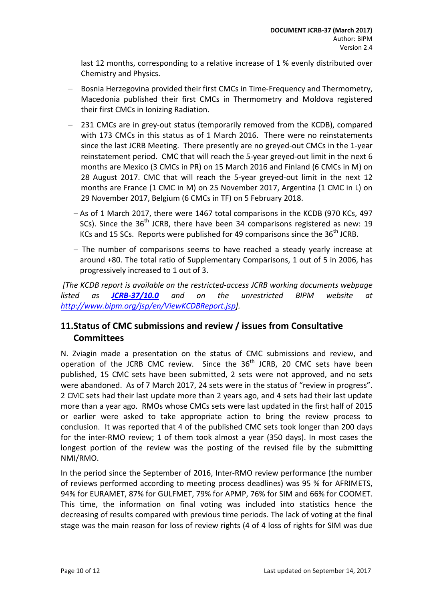last 12 months, corresponding to a relative increase of 1 % evenly distributed over Chemistry and Physics.

- − Bosnia Herzegovina provided their first CMCs in Time-Frequency and Thermometry, Macedonia published their first CMCs in Thermometry and Moldova registered their first CMCs in Ionizing Radiation.
- 231 CMCs are in grey-out status (temporarily removed from the KCDB), compared with 173 CMCs in this status as of 1 March 2016. There were no reinstatements since the last JCRB Meeting. There presently are no greyed-out CMCs in the 1-year reinstatement period. CMC that will reach the 5-year greyed-out limit in the next 6 months are Mexico (3 CMCs in PR) on 15 March 2016 and Finland (6 CMCs in M) on 28 August 2017. CMC that will reach the 5-year greyed-out limit in the next 12 months are France (1 CMC in M) on 25 November 2017, Argentina (1 CMC in L) on 29 November 2017, Belgium (6 CMCs in TF) on 5 February 2018.
	- − As of 1 March 2017, there were 1467 total comparisons in the KCDB (970 KCs, 497 SCs). Since the  $36<sup>th</sup>$  JCRB, there have been 34 comparisons registered as new: 19 KCs and 15 SCs. Reports were published for 49 comparisons since the  $36<sup>th</sup>$  JCRB.
	- − The number of comparisons seems to have reached a steady yearly increase at around +80. The total ratio of Supplementary Comparisons, 1 out of 5 in 2006, has progressively increased to 1 out of 3.

*[The KCDB report is available on the restricted-access JCRB working documents webpage listed as [JCRB-37/10.0](http://www.bipm.org/cc/JCRB/Restricted/37/KCDB_Report_to_37th_JCRB_v4.pdf) and on the unrestricted BIPM website at [http://www.bipm.org/jsp/en/ViewKCDBReport.jsp\]](http://www.bipm.org/jsp/en/ViewKCDBReport.jsp).*

# <span id="page-9-0"></span>**11.Status of CMC submissions and review / issues from Consultative Committees**

N. Zviagin made a presentation on the status of CMC submissions and review, and operation of the JCRB CMC review. Since the  $36<sup>th</sup>$  JCRB, 20 CMC sets have been published, 15 CMC sets have been submitted, 2 sets were not approved, and no sets were abandoned. As of 7 March 2017, 24 sets were in the status of "review in progress". 2 CMC sets had their last update more than 2 years ago, and 4 sets had their last update more than a year ago. RMOs whose CMCs sets were last updated in the first half of 2015 or earlier were asked to take appropriate action to bring the review process to conclusion. It was reported that 4 of the published CMC sets took longer than 200 days for the inter-RMO review; 1 of them took almost a year (350 days). In most cases the longest portion of the review was the posting of the revised file by the submitting NMI/RMO.

In the period since the September of 2016, Inter-RMO review performance (the number of reviews performed according to meeting process deadlines) was 95 % for AFRIMETS, 94% for EURAMET, 87% for GULFMET, 79% for APMP, 76% for SIM and 66% for COOMET. This time, the information on final voting was included into statistics hence the decreasing of results compared with previous time periods. The lack of voting at the final stage was the main reason for loss of review rights (4 of 4 loss of rights for SIM was due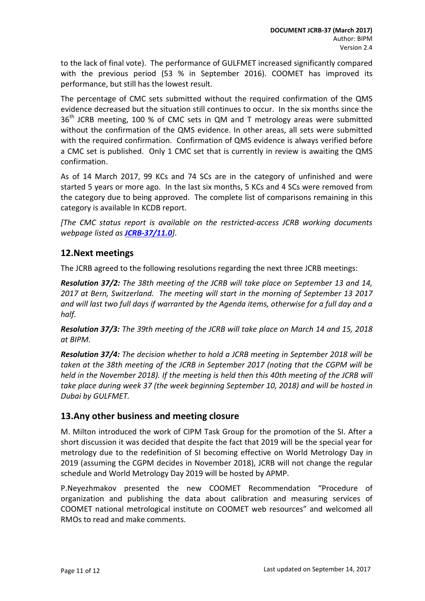to the lack of final vote). The performance of GULFMET increased significantly compared with the previous period (53 % in September 2016). COOMET has improved its performance, but still has the lowest result.

The percentage of CMC sets submitted without the required confirmation of the QMS evidence decreased but the situation still continues to occur. In the six months since the  $36<sup>th</sup>$  JCRB meeting, 100 % of CMC sets in QM and T metrology areas were submitted without the confirmation of the QMS evidence. In other areas, all sets were submitted with the required confirmation. Confirmation of QMS evidence is always verified before a CMC set is published. Only 1 CMC set that is currently in review is awaiting the QMS confirmation.

As of 14 March 2017, 99 KCs and 74 SCs are in the category of unfinished and were started 5 years or more ago. In the last six months, 5 KCs and 4 SCs were removed from the category due to being approved. The complete list of comparisons remaining in this category is available In KCDB report.

*[The CMC status report is available on the restricted-access JCRB working documents webpage listed as [JCRB-37/11.0](http://www.bipm.org/cc/JCRB/Restricted/37/37-11.0_Status_of_CMCs.pptx)]*.

## <span id="page-10-0"></span>**12.Next meetings**

The JCRB agreed to the following resolutions regarding the next three JCRB meetings:

*Resolution 37/2: The 38th meeting of the JCRB will take place on September 13 and 14, 2017 at Bern, Switzerland. The meeting will start in the morning of September 13 2017 and will last two full days if warranted by the Agenda items, otherwise for a full day and a half.*

*Resolution 37/3: The 39th meeting of the JCRB will take place on March 14 and 15, 2018 at BIPM.* 

*Resolution 37/4: The decision whether to hold a JCRB meeting in September 2018 will be taken at the 38th meeting of the JCRB in September 2017 (noting that the CGPM will be held in the November 2018). If the meeting is held then this 40th meeting of the JCRB will take place during week 37 (the week beginning September 10, 2018) and will be hosted in Dubai by GULFMET.* 

## <span id="page-10-1"></span>**13.Any other business and meeting closure**

M. Milton introduced the work of CIPM Task Group for the promotion of the SI. After a short discussion it was decided that despite the fact that 2019 will be the special year for metrology due to the redefinition of SI becoming effective on World Metrology Day in 2019 (assuming the CGPM decides in November 2018), JCRB will not change the regular schedule and World Metrology Day 2019 will be hosted by APMP.

P.Neyezhmakov presented the new COOMET Recommendation "Procedure of organization and publishing the data about calibration and measuring services of COOMET national metrological institute on CООМЕТ web resources" and welcomed all RMOs to read and make comments.